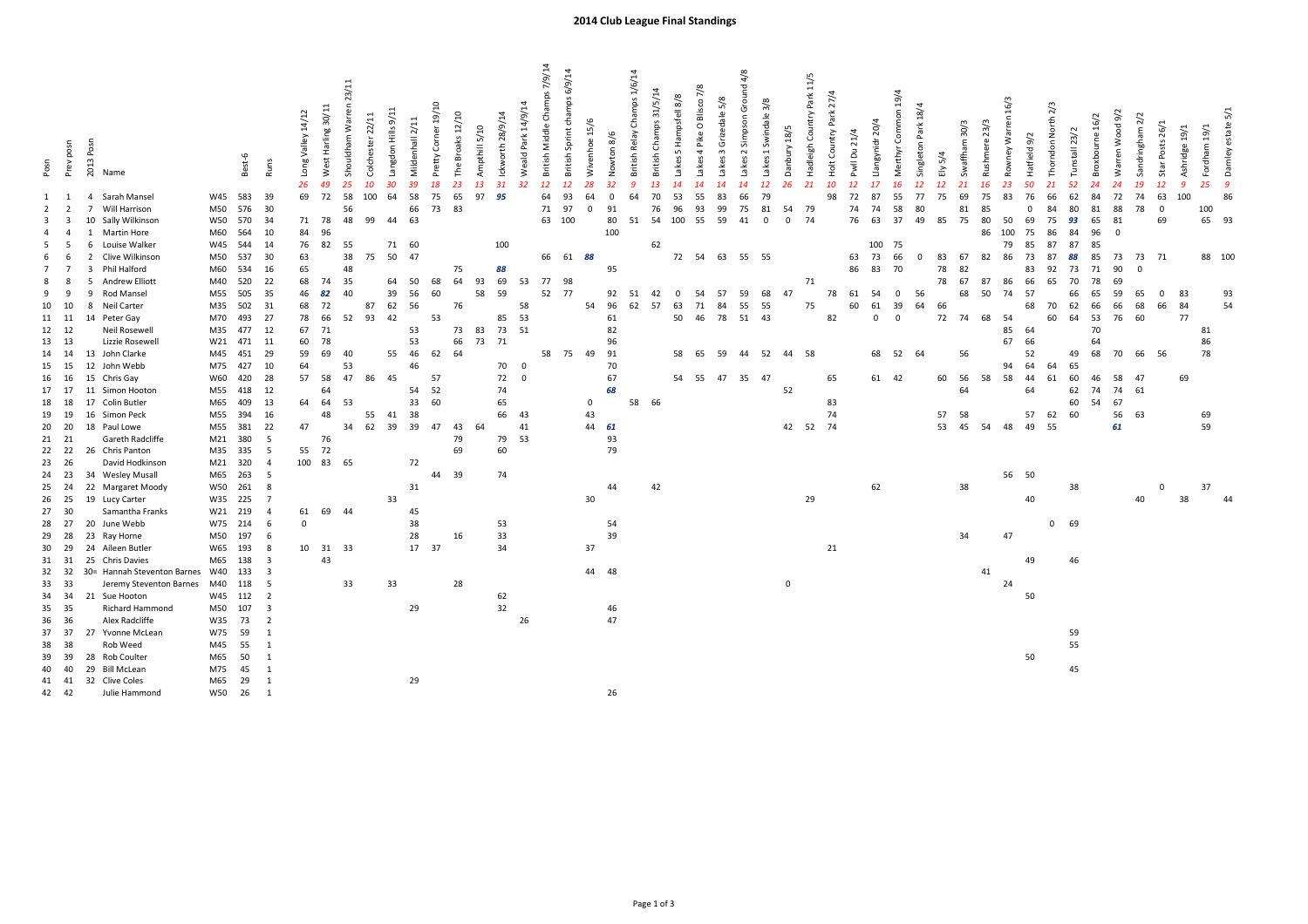| Posn           | Prev posn<br>$\overline{2}$ | 2013 Posn<br>Name<br>Sarah Mansel<br>4<br>Will Harrison | W45<br>M50 | Best-6<br>583<br>576 | <b>Runs</b><br>39<br>30 | Long Valley 14/12<br>26<br>69 | West Harling 30/11<br>49<br>72 | Shouldham Warren 23/11<br>Colchester 22/11<br>25<br>10<br>58<br>100<br>56 | Langdon Hills 9/11<br>30<br>64 | Mildenhall 2/11<br>39<br>58<br>66 | Corner 19/10<br>Pretty<br>18<br>75<br>73 | Broaks 12/10<br>The I<br>23<br>65<br>83 | Ampthill 5/10<br>13<br>97 | Ickworth 28/9/14<br>31<br>32<br>95 | British Middle Champs 7/9/14<br>Weald Park 14/9/14<br>12<br>64<br>71 | British Sprint champs 6/9/14<br>12<br>93<br>97 | Wivenhoe 15/6<br>64<br>$\Omega$ | Nowton 8/6<br>32<br>$\Omega$<br>91 | British Relay Champs 1/6/14<br>9<br>64 | British Champs 31/5/14<br>13<br>70<br>76 | 5 Hampsfell 8/8<br>Lakes<br>53<br>96 | Lakes 4 Pike O Blisco 7/8<br>14<br>55<br>93 | Lakes 3 Grizedale 5/8<br>14<br>83<br>99 | 2 Simpson Ground 4/8<br>Lakes<br>14<br>66<br>75 | Swindale 3/8<br>$\overline{\phantom{a}}$<br>Lakes<br>12<br>79<br>81 | Hadleigh Country Park 11/5<br>Danbury 18/5<br>26<br>21<br>54<br>79 | Holt Country Park 27/4<br>10<br>98 | Pwll Du 21/4<br>12<br>72<br>74 | Llangynidr 20/4<br>17<br>87<br>74 | Merthyr Common 19/4<br>16<br>55<br>58 | Singleton Park 18/4<br>12<br>77<br>80 | Ely 5/4<br>12<br>75 | Swaffham 30/3<br>21<br>69<br>81 | 16/3<br>Rowney Warren<br>Rushmere 23/3<br>16<br>23<br>75<br>83<br>85 | Hatfield 9/2<br>50<br>76<br>$\Omega$ | Thomdon North 2/3<br>21<br>66<br>84 | Tunstall 23/2<br>52<br>62<br>80 | Broxbourne 16/2<br>24<br>84<br>81 | Warren Wood 9/2<br>24<br>72<br>88 | Sandringham 2/2<br>19<br>74<br>78 | Star Posts 26/1<br>12<br>63<br>$\Omega$ | Ashridge 19/1<br>-9<br>100 | Fordham 19/1<br>25<br>100 | Damley estate 5/1<br>$\overline{g}$<br>86 |
|----------------|-----------------------------|---------------------------------------------------------|------------|----------------------|-------------------------|-------------------------------|--------------------------------|---------------------------------------------------------------------------|--------------------------------|-----------------------------------|------------------------------------------|-----------------------------------------|---------------------------|------------------------------------|----------------------------------------------------------------------|------------------------------------------------|---------------------------------|------------------------------------|----------------------------------------|------------------------------------------|--------------------------------------|---------------------------------------------|-----------------------------------------|-------------------------------------------------|---------------------------------------------------------------------|--------------------------------------------------------------------|------------------------------------|--------------------------------|-----------------------------------|---------------------------------------|---------------------------------------|---------------------|---------------------------------|----------------------------------------------------------------------|--------------------------------------|-------------------------------------|---------------------------------|-----------------------------------|-----------------------------------|-----------------------------------|-----------------------------------------|----------------------------|---------------------------|-------------------------------------------|
| -3             |                             | Sally Wilkinson<br>10                                   | W50        | 570                  | 34                      | 71                            | 78                             | 48<br>99                                                                  | 44                             | 63                                |                                          |                                         |                           |                                    | 63                                                                   | 100                                            |                                 | 80                                 | 51                                     | 54                                       | 100                                  | 55                                          | 59                                      | 41                                              | $\mathbf 0$                                                         | $\mathbf{0}$<br>74                                                 |                                    | 76                             | 63                                | 37                                    | 49                                    | 85                  | 75                              | 80<br>50                                                             | 69                                   | 75                                  | 93                              | 65                                | 81                                |                                   | 69                                      |                            | 65 93                     |                                           |
|                |                             | <b>Martin Hore</b>                                      | M60        | 564                  | 10                      | 84                            | 96                             |                                                                           |                                |                                   |                                          |                                         |                           |                                    |                                                                      |                                                |                                 | 100                                |                                        |                                          |                                      |                                             |                                         |                                                 |                                                                     |                                                                    |                                    |                                |                                   |                                       |                                       |                     |                                 | 86<br>100                                                            | 75                                   | 86                                  | 84                              | 96                                | $^{\circ}$                        |                                   |                                         |                            |                           |                                           |
|                |                             | Louise Walker<br>6                                      | W45        | 544                  | 14                      | 76                            | 82                             | 55                                                                        | 71                             | 60                                |                                          |                                         |                           | 100                                |                                                                      |                                                |                                 |                                    |                                        | 62                                       |                                      |                                             |                                         |                                                 |                                                                     |                                                                    |                                    |                                | 100                               | 75                                    |                                       |                     |                                 | 79                                                                   | 85                                   | 87                                  | 87                              | 85                                |                                   |                                   |                                         |                            |                           |                                           |
| -6             |                             | Clive Wilkinson                                         | M50        | 537                  | 30                      | 63                            |                                | 38                                                                        | 50<br>75                       | 47                                |                                          |                                         |                           |                                    | 66                                                                   |                                                | 61 88                           |                                    |                                        |                                          | 72 54                                |                                             | 63 55 55                                |                                                 |                                                                     |                                                                    |                                    | 63                             | 73                                | 66                                    | $\Omega$                              | 83                  | 67                              | 86<br>82                                                             | 73                                   | 87                                  | 88                              | 85                                | 73                                | 73                                | 71                                      |                            | 88 100                    |                                           |
|                |                             | Phil Halford<br>3                                       | M60        | 534                  | 16                      | 65                            |                                | 48                                                                        |                                |                                   |                                          | 75                                      |                           | 88                                 |                                                                      |                                                |                                 | 95                                 |                                        |                                          |                                      |                                             |                                         |                                                 |                                                                     |                                                                    |                                    | 86                             | 83                                | 70                                    |                                       | 78                  | 82                              |                                                                      | 83                                   | 92                                  | 73                              | 71                                | 90                                | $\Omega$                          |                                         |                            |                           |                                           |
|                |                             | <b>Andrew Elliott</b>                                   | M40        | 520                  | 22                      | 68                            | 74                             | 35                                                                        | 64                             | 50                                | 68                                       | 64                                      | 93                        | 69                                 | 53<br>77                                                             | 98                                             |                                 |                                    |                                        |                                          |                                      |                                             |                                         |                                                 |                                                                     | 71                                                                 |                                    |                                |                                   |                                       |                                       | 78                  | 67                              | 87<br>86                                                             | 66                                   | 65                                  | 70                              | 78                                | 69                                |                                   |                                         |                            |                           |                                           |
| 9<br>- 9       |                             | Rod Mansel<br>q                                         | M55        | 505                  | 35                      | 46                            | 82                             | 40                                                                        | 39                             | 56                                | 60                                       |                                         | 58                        | 59                                 | 52                                                                   | 77                                             |                                 | 92                                 | 51                                     | 42                                       | 0                                    | 54                                          | 57                                      | 59                                              | 68                                                                  | 47                                                                 | 78                                 | 61                             | 54                                | 0                                     | 56                                    |                     | 68                              | 74<br>50                                                             | 57                                   |                                     | 66                              | 65                                | 59                                | 65                                | $\Omega$                                | 83                         |                           | 93                                        |
| 10<br>10       |                             | Neil Carter<br>8                                        | M35        | 502                  | 31                      | 68                            | 72                             | 87                                                                        | 62                             | 56                                |                                          | 76                                      |                           |                                    | 58                                                                   |                                                | 54                              | 96                                 | 62                                     | 57                                       | 63                                   | 71                                          | 84                                      | 55                                              | 55                                                                  | 75                                                                 |                                    | 60                             | 61                                | 39                                    | 64                                    | 66                  |                                 |                                                                      | 68                                   | 70                                  | 62                              | 66                                | 66                                | 68                                | 66                                      | 84                         |                           | 54                                        |
| 11 11          |                             | Peter Gay<br>14                                         | M70        | 493                  | 27                      | 78                            | 66                             | 52<br>93                                                                  | 42                             |                                   | 53                                       |                                         |                           | 85                                 | 53                                                                   |                                                |                                 | 61                                 |                                        |                                          | 50                                   | 46                                          | 78                                      | 51                                              | 43                                                                  |                                                                    | 82                                 |                                | $\Omega$                          | $\Omega$                              |                                       | 72                  | 74                              | 68<br>54                                                             |                                      | 60                                  | 64                              | 53                                | 76                                | 60                                |                                         | 77                         |                           |                                           |
| 12 12          |                             | <b>Neil Rosewell</b>                                    | M35        | 477                  | 12                      | 67                            | 71                             |                                                                           |                                | 53                                |                                          | 73                                      | 83                        | 73                                 | 51                                                                   |                                                |                                 | 82                                 |                                        |                                          |                                      |                                             |                                         |                                                 |                                                                     |                                                                    |                                    |                                |                                   |                                       |                                       |                     |                                 | 85                                                                   | 64                                   |                                     |                                 | 70                                |                                   |                                   |                                         |                            | 81                        |                                           |
| 13 13          |                             | Lizzie Rosewell                                         |            | W21 471              | 11                      | 60                            | 78                             |                                                                           |                                | 53                                |                                          | 66                                      | 73 71                     |                                    |                                                                      |                                                |                                 | 96                                 |                                        |                                          |                                      |                                             |                                         |                                                 |                                                                     |                                                                    |                                    |                                |                                   |                                       |                                       |                     |                                 | 67                                                                   | 66                                   |                                     |                                 | 64                                |                                   |                                   |                                         |                            | 86                        |                                           |
| 14 14          |                             | 13<br>John Clarke                                       | M45        | 451                  | 29                      | 59                            | 69                             | 40                                                                        | 55                             | 46                                | 62                                       | 64                                      |                           |                                    | 58                                                                   | 75                                             | 49                              | 91                                 |                                        |                                          | 58                                   | 65                                          | 59                                      | 44                                              | 52                                                                  | 58<br>44                                                           |                                    |                                | 68                                | 52                                    | - 64                                  |                     | 56                              |                                                                      | 52                                   |                                     | 49                              | 68                                | 70                                | 66                                | 56                                      |                            | 78                        |                                           |
| 15 15          |                             | 12<br>John Webb                                         | M75        | 427                  | 10                      | 64                            |                                | 53                                                                        |                                | 46                                |                                          |                                         |                           | 70<br>$\overline{0}$               |                                                                      |                                                |                                 | 70                                 |                                        |                                          |                                      |                                             |                                         |                                                 |                                                                     |                                                                    |                                    |                                |                                   |                                       |                                       |                     |                                 | 94                                                                   | 64                                   | 64                                  | 65                              |                                   |                                   |                                   |                                         |                            |                           |                                           |
| 16 16          |                             | 15<br>Chris Gay                                         | W60        | 420                  | 28                      | 57                            | 58                             | 47<br>86                                                                  | 45                             |                                   | 57                                       |                                         |                           | 72<br>$\overline{0}$               |                                                                      |                                                |                                 | 67                                 |                                        |                                          | 54                                   | 55                                          | 47                                      | 35                                              | 47                                                                  |                                                                    | 65                                 |                                | 61 42                             |                                       |                                       | 60                  | 56                              | 58<br>58                                                             | 44                                   | 61                                  | 60                              | 46                                | 58                                | 47                                |                                         | 69                         |                           |                                           |
| 17 17          |                             | 11<br>Simon Hooton                                      | M55        | 418                  | 12                      |                               | 64                             |                                                                           |                                | 54                                | 52                                       |                                         |                           | 74                                 |                                                                      |                                                |                                 | 68                                 |                                        |                                          |                                      |                                             |                                         |                                                 |                                                                     | 52                                                                 |                                    |                                |                                   |                                       |                                       |                     | 64                              |                                                                      | 64                                   |                                     | 62                              | 74                                | 74                                | 61                                |                                         |                            |                           |                                           |
| 18 18          |                             | 17<br>Colin Butler                                      | M65        | 409                  | 13                      | 64                            | 64                             | 53                                                                        |                                | 33                                | 60                                       |                                         |                           | 65                                 |                                                                      |                                                | $\mathbf 0$                     |                                    | 58                                     | 66                                       |                                      |                                             |                                         |                                                 |                                                                     |                                                                    | 83                                 |                                |                                   |                                       |                                       |                     |                                 |                                                                      |                                      |                                     | 60                              | 54                                | 67                                |                                   |                                         |                            |                           |                                           |
| 19 19          |                             | 16<br>Simon Peck                                        | M55        | 394                  | 16                      |                               | 48                             | 55                                                                        | 41                             | 38                                |                                          |                                         |                           | 66                                 | 43                                                                   |                                                | 43                              |                                    |                                        |                                          |                                      |                                             |                                         |                                                 |                                                                     |                                                                    | 74                                 |                                |                                   |                                       |                                       | 57                  | 58                              |                                                                      | 57                                   | 62                                  | 60                              |                                   | 56                                | 63                                |                                         |                            | 69                        |                                           |
| 20 20          |                             | 18<br>Paul Lowe                                         | M55        | 381                  | 22                      | 47                            |                                | 62<br>34                                                                  | 39                             | 39                                | 47                                       | 43                                      | 64                        |                                    | 41                                                                   |                                                |                                 | 44 61                              |                                        |                                          |                                      |                                             |                                         |                                                 |                                                                     | 42 52                                                              | 74                                 |                                |                                   |                                       |                                       | 53                  | 45                              | 54<br>48                                                             | 49                                   | 55                                  |                                 |                                   | 61                                |                                   |                                         |                            | 59                        |                                           |
| 21 21          |                             | Gareth Radcliffe                                        | M21        | 380                  | 5                       |                               | 76                             |                                                                           |                                |                                   |                                          | 79                                      |                           | 79 53                              |                                                                      |                                                |                                 | 93                                 |                                        |                                          |                                      |                                             |                                         |                                                 |                                                                     |                                                                    |                                    |                                |                                   |                                       |                                       |                     |                                 |                                                                      |                                      |                                     |                                 |                                   |                                   |                                   |                                         |                            |                           |                                           |
| 22<br>22       |                             | 26 Chris Panton                                         | M35        | 335                  | -5                      | 55                            | 72                             |                                                                           |                                |                                   |                                          | 69                                      |                           | 60                                 |                                                                      |                                                |                                 | 79                                 |                                        |                                          |                                      |                                             |                                         |                                                 |                                                                     |                                                                    |                                    |                                |                                   |                                       |                                       |                     |                                 |                                                                      |                                      |                                     |                                 |                                   |                                   |                                   |                                         |                            |                           |                                           |
| 23 26          |                             | David Hodkinson                                         | M21 320    |                      | $\overline{4}$          | 100 83                        |                                | 65                                                                        |                                | 72                                |                                          |                                         |                           |                                    |                                                                      |                                                |                                 |                                    |                                        |                                          |                                      |                                             |                                         |                                                 |                                                                     |                                                                    |                                    |                                |                                   |                                       |                                       |                     |                                 |                                                                      |                                      |                                     |                                 |                                   |                                   |                                   |                                         |                            |                           |                                           |
| 24 23          |                             | 34 Wesley Musall<br>22                                  | M65        | 263                  | 5<br>8                  |                               |                                |                                                                           |                                | 31                                | 44                                       | 39                                      |                           | 74                                 |                                                                      |                                                |                                 | 44                                 |                                        |                                          |                                      |                                             |                                         |                                                 |                                                                     |                                                                    |                                    |                                | 62                                |                                       |                                       |                     |                                 |                                                                      | 56 50                                |                                     |                                 |                                   |                                   |                                   | $\mathbf 0$                             |                            | 37                        |                                           |
| 25 24<br>26 25 |                             | Margaret Moody<br>19 Lucy Carter                        | W50<br>W35 | 261<br>225           | $\overline{7}$          |                               |                                |                                                                           | 33                             |                                   |                                          |                                         |                           |                                    |                                                                      |                                                | 30                              |                                    |                                        | 42                                       |                                      |                                             |                                         |                                                 |                                                                     | 29                                                                 |                                    |                                |                                   |                                       |                                       |                     | 38                              |                                                                      | 40                                   |                                     | 38                              |                                   |                                   | 40                                |                                         | 38                         |                           |                                           |
| 27<br>30       |                             | Samantha Franks                                         | W21        | 219                  | $\overline{4}$          | 61                            | 69                             | 44                                                                        |                                | 45                                |                                          |                                         |                           |                                    |                                                                      |                                                |                                 |                                    |                                        |                                          |                                      |                                             |                                         |                                                 |                                                                     |                                                                    |                                    |                                |                                   |                                       |                                       |                     |                                 |                                                                      |                                      |                                     |                                 |                                   |                                   |                                   |                                         |                            |                           |                                           |
| 28 27          |                             | June Webb<br>20                                         |            | W75 214              | 6                       | $\mathbf{0}$                  |                                |                                                                           |                                | 38                                |                                          |                                         |                           | 53                                 |                                                                      |                                                |                                 | 54                                 |                                        |                                          |                                      |                                             |                                         |                                                 |                                                                     |                                                                    |                                    |                                |                                   |                                       |                                       |                     |                                 |                                                                      |                                      | $\mathbf 0$                         | 69                              |                                   |                                   |                                   |                                         |                            |                           |                                           |
| 28<br>29       |                             | 23<br>Ray Horne                                         | M50        | 197                  | 6                       |                               |                                |                                                                           |                                | 28                                |                                          | 16                                      |                           | 33                                 |                                                                      |                                                |                                 | 39                                 |                                        |                                          |                                      |                                             |                                         |                                                 |                                                                     |                                                                    |                                    |                                |                                   |                                       |                                       |                     | 34                              | 47                                                                   |                                      |                                     |                                 |                                   |                                   |                                   |                                         |                            |                           |                                           |
| 30 29          |                             | 24<br>Aileen Butler                                     | W65        | 193                  | 8                       |                               | 10 31 33                       |                                                                           |                                |                                   | 17 37                                    |                                         |                           | 34                                 |                                                                      |                                                | 37                              |                                    |                                        |                                          |                                      |                                             |                                         |                                                 |                                                                     |                                                                    | 21                                 |                                |                                   |                                       |                                       |                     |                                 |                                                                      |                                      |                                     |                                 |                                   |                                   |                                   |                                         |                            |                           |                                           |
| 31 31          |                             | 25<br>Chris Davies                                      | M65        | 138                  | $\overline{3}$          |                               | 43                             |                                                                           |                                |                                   |                                          |                                         |                           |                                    |                                                                      |                                                |                                 |                                    |                                        |                                          |                                      |                                             |                                         |                                                 |                                                                     |                                                                    |                                    |                                |                                   |                                       |                                       |                     |                                 |                                                                      | 49                                   |                                     | 46                              |                                   |                                   |                                   |                                         |                            |                           |                                           |
| 32 32          |                             | 30= Hannah Steventon Barnes                             | W40        | 133                  | $\mathbf{3}$            |                               |                                |                                                                           |                                |                                   |                                          |                                         |                           |                                    |                                                                      |                                                | 44                              | 48                                 |                                        |                                          |                                      |                                             |                                         |                                                 |                                                                     |                                                                    |                                    |                                |                                   |                                       |                                       |                     |                                 | $41\,$                                                               |                                      |                                     |                                 |                                   |                                   |                                   |                                         |                            |                           |                                           |
| 33 33          |                             | Jeremy Steventon Barnes                                 | M40        | 118                  | -5                      |                               |                                | 33                                                                        | 33                             |                                   |                                          | 28                                      |                           |                                    |                                                                      |                                                |                                 |                                    |                                        |                                          |                                      |                                             |                                         |                                                 |                                                                     | $\mathbf 0$                                                        |                                    |                                |                                   |                                       |                                       |                     |                                 | 24                                                                   |                                      |                                     |                                 |                                   |                                   |                                   |                                         |                            |                           |                                           |
| 34 34          |                             | 21 Sue Hooton                                           |            | W45 112              | $\overline{2}$          |                               |                                |                                                                           |                                |                                   |                                          |                                         |                           | 62                                 |                                                                      |                                                |                                 |                                    |                                        |                                          |                                      |                                             |                                         |                                                 |                                                                     |                                                                    |                                    |                                |                                   |                                       |                                       |                     |                                 |                                                                      | 50                                   |                                     |                                 |                                   |                                   |                                   |                                         |                            |                           |                                           |
| 35 35          |                             | Richard Hammond                                         | M50        | 107                  | $\overline{\mathbf{3}}$ |                               |                                |                                                                           |                                | 29                                |                                          |                                         |                           | 32                                 |                                                                      |                                                |                                 | 46                                 |                                        |                                          |                                      |                                             |                                         |                                                 |                                                                     |                                                                    |                                    |                                |                                   |                                       |                                       |                     |                                 |                                                                      |                                      |                                     |                                 |                                   |                                   |                                   |                                         |                            |                           |                                           |
| 36 36          |                             | Alex Radcliffe                                          | W35        | 73                   | $\overline{2}$          |                               |                                |                                                                           |                                |                                   |                                          |                                         |                           |                                    | 26                                                                   |                                                |                                 | 47                                 |                                        |                                          |                                      |                                             |                                         |                                                 |                                                                     |                                                                    |                                    |                                |                                   |                                       |                                       |                     |                                 |                                                                      |                                      |                                     |                                 |                                   |                                   |                                   |                                         |                            |                           |                                           |
| 37 37          |                             | 27<br>Yvonne McLean                                     | W75        | 59                   | $\overline{1}$          |                               |                                |                                                                           |                                |                                   |                                          |                                         |                           |                                    |                                                                      |                                                |                                 |                                    |                                        |                                          |                                      |                                             |                                         |                                                 |                                                                     |                                                                    |                                    |                                |                                   |                                       |                                       |                     |                                 |                                                                      |                                      |                                     | 59                              |                                   |                                   |                                   |                                         |                            |                           |                                           |
| 38<br>38       |                             | <b>Rob Weed</b>                                         | M45        | 55                   | $\overline{1}$          |                               |                                |                                                                           |                                |                                   |                                          |                                         |                           |                                    |                                                                      |                                                |                                 |                                    |                                        |                                          |                                      |                                             |                                         |                                                 |                                                                     |                                                                    |                                    |                                |                                   |                                       |                                       |                     |                                 |                                                                      |                                      |                                     | 55                              |                                   |                                   |                                   |                                         |                            |                           |                                           |
| 39<br>39       |                             | <b>Rob Coulter</b><br>28                                | M65        | 50                   | $\mathbf{1}$            |                               |                                |                                                                           |                                |                                   |                                          |                                         |                           |                                    |                                                                      |                                                |                                 |                                    |                                        |                                          |                                      |                                             |                                         |                                                 |                                                                     |                                                                    |                                    |                                |                                   |                                       |                                       |                     |                                 |                                                                      | 50                                   |                                     |                                 |                                   |                                   |                                   |                                         |                            |                           |                                           |
| 40 40          |                             | 29<br><b>Bill McLean</b>                                | M75        | 45                   | 1                       |                               |                                |                                                                           |                                |                                   |                                          |                                         |                           |                                    |                                                                      |                                                |                                 |                                    |                                        |                                          |                                      |                                             |                                         |                                                 |                                                                     |                                                                    |                                    |                                |                                   |                                       |                                       |                     |                                 |                                                                      |                                      |                                     | 45                              |                                   |                                   |                                   |                                         |                            |                           |                                           |
| 41 41          |                             | 32 Clive Coles                                          | M65        | 29                   | $\overline{1}$          |                               |                                |                                                                           |                                | 29                                |                                          |                                         |                           |                                    |                                                                      |                                                |                                 |                                    |                                        |                                          |                                      |                                             |                                         |                                                 |                                                                     |                                                                    |                                    |                                |                                   |                                       |                                       |                     |                                 |                                                                      |                                      |                                     |                                 |                                   |                                   |                                   |                                         |                            |                           |                                           |
| 42 42          |                             | Julie Hammond                                           | W50        | 26                   | $\overline{1}$          |                               |                                |                                                                           |                                |                                   |                                          |                                         |                           |                                    |                                                                      |                                                |                                 | 26                                 |                                        |                                          |                                      |                                             |                                         |                                                 |                                                                     |                                                                    |                                    |                                |                                   |                                       |                                       |                     |                                 |                                                                      |                                      |                                     |                                 |                                   |                                   |                                   |                                         |                            |                           |                                           |

## 2014 Club League Final Standings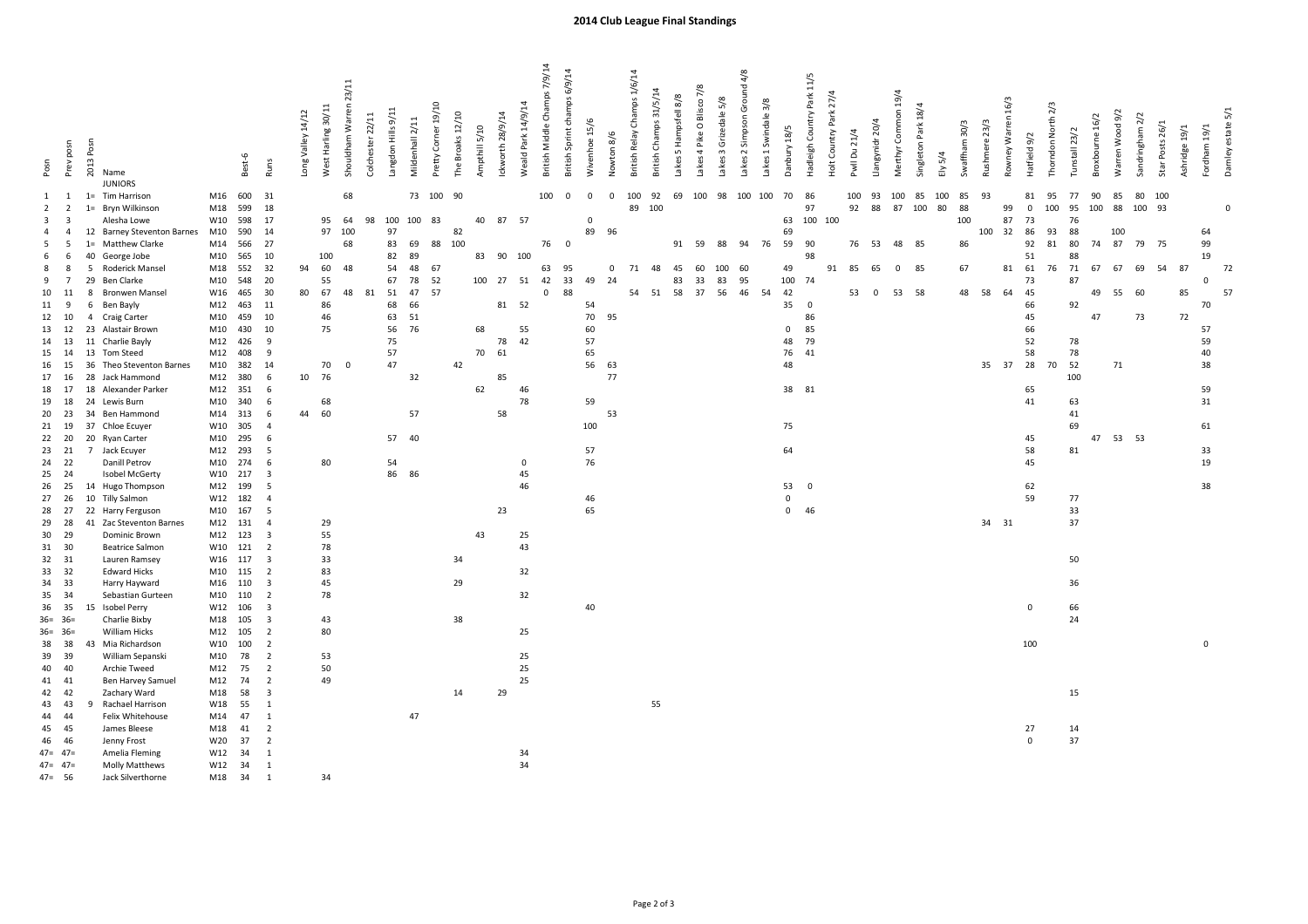|                          |                                           |                                                                        |            |            |                                           |                   |                    | 23/11            |                                       |                 |                     |                  |               |                  |                    | British Middle Champs 7/9/14 | British Sprint champs 6/9/14 |                         |             | British Relay Champs 1/6/14 |    | 7/8<br>Blisco:                             |                       | akes 2 Simpson Ground 4/8 |                      |              | Hadleigh Country Park 11/5 |                        |                                 |                     |                     |           |               |               |                    |              |                    |               |                 |                 |                 |                 |               |              |                   |
|--------------------------|-------------------------------------------|------------------------------------------------------------------------|------------|------------|-------------------------------------------|-------------------|--------------------|------------------|---------------------------------------|-----------------|---------------------|------------------|---------------|------------------|--------------------|------------------------------|------------------------------|-------------------------|-------------|-----------------------------|----|--------------------------------------------|-----------------------|---------------------------|----------------------|--------------|----------------------------|------------------------|---------------------------------|---------------------|---------------------|-----------|---------------|---------------|--------------------|--------------|--------------------|---------------|-----------------|-----------------|-----------------|-----------------|---------------|--------------|-------------------|
| Posn                     | Prev posn                                 | 2013 Posn<br>Name<br><b>JUNIORS</b>                                    |            | Best-6     | Runs                                      | Long Valley 14/12 | West Harling 30/11 | Shouldham Warren | angdon Hills 9/11<br>Colchester 22/11 | Mildenhall 2/11 | Pretty Corner 19/10 | The Broaks 12/10 | Ampthill 5/10 | Ickworth 28/9/14 | Weald Park 14/9/14 |                              |                              | Wivenhoe 15/6           | Nowton 8/6  | British Champs 31/5/14      |    | Lakes 5 Hampsfell 8/8<br>4 Pike O<br>Lakes | Lakes 3 Grizedale 5/8 |                           | Lakes 1 Swindale 3/8 | Danbury 18/5 |                            | Holt Country Park 27/4 | Llangynidr 20/4<br>Pwll Du 21/4 | Merthyr Common 19/4 | Singleton Park 18/4 | $Ely$ 5/4 | Swaffham 30/3 | Rushmere 23/3 | Rowney Warren 16/3 | Hatfield 9/2 | Thorndon North 2/3 | Tunstall 23/2 | Broxbourne 16/2 | Warren Wood 9/2 | Sandringham 2/2 | Star Posts 26/1 | Ashridge 19/1 | Fordham 19/1 | Damley estate 5/1 |
| 1                        | 1                                         | Tim Harrison<br>$1 =$                                                  | M16        | 600        | 31                                        |                   |                    | 68               |                                       | 73              | 100                 | 90               |               |                  |                    | 100                          | $\mathbf 0$                  | $\mathbf 0$             | $\mathsf 0$ | 92<br>100                   |    | 69                                         | 100 98                | 100                       | 100                  | 70           | 86                         |                        | 100<br>93                       | 100                 | 85                  | 100       | 85            | 93            |                    | 81           | 95                 | 77            | 90              | 85              | 80              | 100             |               |              |                   |
| $\overline{2}$           | $\overline{2}$                            | Bryn Wilkinson<br>$1 =$                                                | M18        | 599        | 18                                        |                   |                    |                  |                                       |                 |                     |                  |               |                  |                    |                              |                              |                         |             | 89<br>100                   |    |                                            |                       |                           |                      |              | 97                         |                        | 88<br>92                        |                     | 87 100              | 80        | 88            |               | 99                 | $\mathbf 0$  | 100                | 95            | 100             | 88              | 100 93          |                 |               |              | $\Omega$          |
| $\overline{\mathbf{3}}$  | $\overline{\mathbf{3}}$<br>$\overline{4}$ | Alesha Lowe                                                            | W10        | 598<br>590 | 17<br>14                                  |                   | 95<br>97           | 64<br>100        | 98<br>97                              | 100 100         | 83                  |                  | 40            | 87               | 57                 |                              |                              | $\mathbf 0$<br>89<br>96 |             |                             |    |                                            |                       |                           |                      | 63<br>69     | 100 100                    |                        |                                 |                     |                     |           | 100           |               | 87<br>32           | 73<br>86     | 93                 | 76<br>88      |                 |                 |                 |                 |               | 64           |                   |
| $\overline{4}$<br>-5     | - 5                                       | <b>Barney Steventon Barnes</b><br>12<br><b>Matthew Clarke</b><br>$1 =$ | M10<br>M14 | 566        | 27                                        |                   |                    | 68               | 83                                    | 69              | 88                  | 82<br>100        |               |                  |                    | 76                           | $\mathbf 0$                  |                         |             |                             |    | 91 59                                      | 88                    | 94                        | 76                   | 59           | 90                         |                        | 76 53                           | 48                  | 85                  |           | 86            | 100           |                    | 92           | 81                 | 80            | 74              | 100<br>87       | 79 75           |                 |               | 99           |                   |
| 6                        | -6                                        | 40<br>George Jobe                                                      | M10        | 565        | 10                                        |                   | 100                |                  | 82                                    | 89              |                     |                  | 83            | 90 100           |                    |                              |                              |                         |             |                             |    |                                            |                       |                           |                      |              | 98                         |                        |                                 |                     |                     |           |               |               |                    | 51           |                    | 88            |                 |                 |                 |                 |               | 19           |                   |
| 8                        | 8                                         | Roderick Mansel<br>5                                                   | M18        | 552        | 32                                        | 94                | 60                 | 48               | 54                                    | 48              | 67                  |                  |               |                  |                    | 95<br>63                     |                              |                         | $\Omega$    | 48<br>71                    |    | 45<br>60                                   | 100                   | 60                        |                      | 49           |                            | 91                     | 85<br>65                        | $\mathbf 0$         | 85                  |           | 67            |               | 81                 | 61           | 76                 | 71            | 67              | 67              | 69              | 54              | 87            |              | 72                |
| 9                        | $\overline{7}$                            | 29<br><b>Ben Clarke</b>                                                | M10        | 548        | 20                                        |                   | 55                 |                  | 67                                    | 78              | 52                  |                  |               | 100 27 51        |                    | 42                           | 33                           | 49                      | 24          |                             |    | 83<br>33                                   | 83                    | 95                        |                      | 100          | 74                         |                        |                                 |                     |                     |           |               |               |                    | 73           |                    | 87            |                 |                 |                 |                 |               | $\mathsf 0$  |                   |
| 10                       | 11                                        | <b>Bronwen Mansel</b><br>$\mathbf{R}$                                  | W16        | 465        | 30                                        | 80                | 67                 | 48               | 51<br>81                              | 47              | 57                  |                  |               |                  |                    | $\mathbf 0$                  | 88                           |                         |             | 54 51                       | 58 | 37                                         | 56                    | 46                        | 54                   | 42           |                            |                        | 53<br>$\mathbf 0$               | 53                  | 58                  |           | 48            | 58            | 64                 | 45           |                    |               | 49              | 55              | 60              |                 | 85            |              | 57                |
| 11                       | 9                                         | Ben Bayly<br>6                                                         | M12        | 463        | 11                                        |                   | 86                 |                  | 68                                    | 66              |                     |                  |               | 81 52            |                    |                              |                              | 54                      |             |                             |    |                                            |                       |                           |                      | 35           | $\overline{0}$             |                        |                                 |                     |                     |           |               |               |                    | 66           |                    | 92            |                 |                 |                 |                 |               | 70           |                   |
| 12                       | 10                                        | $\overline{4}$<br>Craig Carter                                         | M10        | 459        | 10                                        |                   | 46                 |                  | 63                                    | 51              |                     |                  |               |                  |                    |                              |                              | 70                      | 95          |                             |    |                                            |                       |                           |                      |              | 86                         |                        |                                 |                     |                     |           |               |               |                    | 45           |                    |               | 47              |                 | 73              |                 | 72            |              |                   |
| 13                       | 12                                        | Alastair Brown<br>23                                                   | M10        | 430        | 10                                        |                   | 75                 |                  | 56                                    | 76              |                     |                  | 68            |                  | 55                 |                              |                              | 60                      |             |                             |    |                                            |                       |                           |                      | $\mathbf 0$  | 85                         |                        |                                 |                     |                     |           |               |               |                    | 66           |                    |               |                 |                 |                 |                 |               | 57           |                   |
| 14 13                    |                                           | Charlie Bayly<br>11                                                    | M12        | 426        | 9                                         |                   |                    |                  | 75                                    |                 |                     |                  |               | 78               | 42                 |                              |                              | 57                      |             |                             |    |                                            |                       |                           |                      | 48           | 79                         |                        |                                 |                     |                     |           |               |               |                    | 52           |                    | 78            |                 |                 |                 |                 |               | 59           |                   |
| 15 14                    |                                           | 13 Tom Steed                                                           | M12        | 408        | 9                                         |                   |                    |                  | 57                                    |                 |                     |                  | 70            | 61               |                    |                              |                              | 65                      |             |                             |    |                                            |                       |                           |                      | 76           | 41                         |                        |                                 |                     |                     |           |               |               |                    | 58           |                    | 78            |                 |                 |                 |                 |               | 40           |                   |
| 16                       | 15                                        | 36<br>Theo Steventon Barnes                                            | M10        | 382        | 14                                        |                   | 70                 | $\Omega$         | 47                                    |                 |                     | 42               |               |                  |                    |                              |                              | 56<br>63                |             |                             |    |                                            |                       |                           |                      | 48           |                            |                        |                                 |                     |                     |           |               | 35            | 37                 | 28           | 70                 | 52            |                 | 71              |                 |                 |               | 38           |                   |
| 17                       | 16                                        | 28<br>Jack Hammond                                                     | M12        | 380        | 6                                         | 10                | 76                 |                  |                                       | 32              |                     |                  |               | 85               |                    |                              |                              |                         | 77          |                             |    |                                            |                       |                           |                      |              |                            |                        |                                 |                     |                     |           |               |               |                    |              |                    | 100           |                 |                 |                 |                 |               |              |                   |
| 18                       | 17                                        | 18<br>Alexander Parker                                                 | M12        | 351        | 6                                         |                   |                    |                  |                                       |                 |                     |                  | 62            |                  | 46                 |                              |                              |                         |             |                             |    |                                            |                       |                           |                      | 38 81        |                            |                        |                                 |                     |                     |           |               |               |                    | 65           |                    |               |                 |                 |                 |                 |               | 59           |                   |
| 19<br>20                 | 18<br>23                                  | 24 Lewis Burn<br>34 Ben Hammond                                        | M10<br>M14 | 340<br>313 | 6<br>6                                    | 44                | 68<br>60           |                  |                                       | 57              |                     |                  |               | 58               | 78                 |                              |                              | 59                      | 53          |                             |    |                                            |                       |                           |                      |              |                            |                        |                                 |                     |                     |           |               |               |                    | 41           |                    | 63<br>41      |                 |                 |                 |                 |               | 31           |                   |
| 21                       | 19                                        | 37<br>Chloe Ecuyer                                                     | W10        | 305        | $\overline{4}$                            |                   |                    |                  |                                       |                 |                     |                  |               |                  |                    |                              |                              | 100                     |             |                             |    |                                            |                       |                           |                      | 75           |                            |                        |                                 |                     |                     |           |               |               |                    |              |                    | 69            |                 |                 |                 |                 |               | 61           |                   |
| 22 20                    |                                           | 20<br><b>Ryan Carter</b>                                               | M10        | 295        | 6                                         |                   |                    |                  | 57                                    | 40              |                     |                  |               |                  |                    |                              |                              |                         |             |                             |    |                                            |                       |                           |                      |              |                            |                        |                                 |                     |                     |           |               |               |                    | 45           |                    |               |                 | 47 53 53        |                 |                 |               |              |                   |
| 23                       | 21                                        | 7 Jack Ecuyer                                                          | M12        | 293        | 5                                         |                   |                    |                  |                                       |                 |                     |                  |               |                  |                    |                              |                              | 57                      |             |                             |    |                                            |                       |                           |                      | 64           |                            |                        |                                 |                     |                     |           |               |               |                    | 58           |                    | 81            |                 |                 |                 |                 |               | 33           |                   |
| 24                       | 22                                        | Danill Petrov                                                          | M10        | 274        | 6                                         |                   | 80                 |                  | 54                                    |                 |                     |                  |               |                  | $\mathbf 0$        |                              |                              | 76                      |             |                             |    |                                            |                       |                           |                      |              |                            |                        |                                 |                     |                     |           |               |               |                    | 45           |                    |               |                 |                 |                 |                 |               | 19           |                   |
| 25                       | 24                                        | Isobel McGerty                                                         | W10        | 217        | $\overline{\mathbf{3}}$                   |                   |                    |                  | 86                                    | 86              |                     |                  |               |                  | 45                 |                              |                              |                         |             |                             |    |                                            |                       |                           |                      |              |                            |                        |                                 |                     |                     |           |               |               |                    |              |                    |               |                 |                 |                 |                 |               |              |                   |
| 26                       | 25                                        | 14 Hugo Thompson                                                       | M12        | 199        | 5                                         |                   |                    |                  |                                       |                 |                     |                  |               |                  | 46                 |                              |                              |                         |             |                             |    |                                            |                       |                           |                      | 53           | $\overline{0}$             |                        |                                 |                     |                     |           |               |               |                    | 62           |                    |               |                 |                 |                 |                 |               | 38           |                   |
| 27                       | 26                                        | 10 Tilly Salmon                                                        | W12        | 182        | $\overline{4}$                            |                   |                    |                  |                                       |                 |                     |                  |               |                  |                    |                              |                              | 46                      |             |                             |    |                                            |                       |                           |                      | $\mathbf 0$  |                            |                        |                                 |                     |                     |           |               |               |                    | 59           |                    | 77            |                 |                 |                 |                 |               |              |                   |
| 28                       | 27                                        | 22 Harry Ferguson                                                      | M10        | 167        | 5                                         |                   |                    |                  |                                       |                 |                     |                  |               | 23               |                    |                              |                              | 65                      |             |                             |    |                                            |                       |                           |                      | $\mathbf 0$  | 46                         |                        |                                 |                     |                     |           |               |               |                    |              |                    | 33            |                 |                 |                 |                 |               |              |                   |
| 29                       | 28                                        | 41 Zac Steventon Barnes                                                | M12        | 131        | $\overline{4}$                            |                   | 29                 |                  |                                       |                 |                     |                  |               |                  |                    |                              |                              |                         |             |                             |    |                                            |                       |                           |                      |              |                            |                        |                                 |                     |                     |           |               | 34 31         |                    |              |                    | 37            |                 |                 |                 |                 |               |              |                   |
| 30                       | 29                                        | Dominic Brown                                                          | M12        | 123        | $\overline{\mathbf{3}}$                   |                   | 55                 |                  |                                       |                 |                     |                  | 43            |                  | 25                 |                              |                              |                         |             |                             |    |                                            |                       |                           |                      |              |                            |                        |                                 |                     |                     |           |               |               |                    |              |                    |               |                 |                 |                 |                 |               |              |                   |
| 31 30                    |                                           | <b>Beatrice Salmon</b>                                                 | W10        | 121        | $\overline{2}$                            |                   | 78                 |                  |                                       |                 |                     |                  |               |                  | 43                 |                              |                              |                         |             |                             |    |                                            |                       |                           |                      |              |                            |                        |                                 |                     |                     |           |               |               |                    |              |                    |               |                 |                 |                 |                 |               |              |                   |
| 32 31                    |                                           | Lauren Ramsey                                                          | W16        | 117        | $\overline{\mathbf{3}}$                   |                   | 33                 |                  |                                       |                 |                     | 34               |               |                  |                    |                              |                              |                         |             |                             |    |                                            |                       |                           |                      |              |                            |                        |                                 |                     |                     |           |               |               |                    |              |                    | 50            |                 |                 |                 |                 |               |              |                   |
| 33                       | 32                                        | <b>Edward Hicks</b>                                                    | M10        | 115        | $\overline{2}$                            |                   | 83                 |                  |                                       |                 |                     |                  |               |                  | 32                 |                              |                              |                         |             |                             |    |                                            |                       |                           |                      |              |                            |                        |                                 |                     |                     |           |               |               |                    |              |                    |               |                 |                 |                 |                 |               |              |                   |
| 34<br>35                 | 33<br>34                                  | Harry Hayward<br>Sebastian Gurteen                                     | M16<br>M10 | 110<br>110 | $\overline{\mathbf{3}}$<br>$\overline{2}$ |                   | 45<br>78           |                  |                                       |                 |                     | 29               |               |                  | 32                 |                              |                              |                         |             |                             |    |                                            |                       |                           |                      |              |                            |                        |                                 |                     |                     |           |               |               |                    |              |                    | 36            |                 |                 |                 |                 |               |              |                   |
| 36                       | 35                                        | Isobel Perry                                                           | W12        | 106        | $\overline{\mathbf{3}}$                   |                   |                    |                  |                                       |                 |                     |                  |               |                  |                    |                              |                              | 40                      |             |                             |    |                                            |                       |                           |                      |              |                            |                        |                                 |                     |                     |           |               |               |                    | $\mathbf 0$  |                    | 66            |                 |                 |                 |                 |               |              |                   |
| $36 = 36 =$              |                                           | Charlie Bixby                                                          | M18        | 105        | $\overline{\mathbf{3}}$                   |                   | 43                 |                  |                                       |                 |                     | 38               |               |                  |                    |                              |                              |                         |             |                             |    |                                            |                       |                           |                      |              |                            |                        |                                 |                     |                     |           |               |               |                    |              |                    | 24            |                 |                 |                 |                 |               |              |                   |
| $36 = 36 =$              |                                           | William Hicks                                                          | M12        | 105        | $\overline{2}$                            |                   | 80                 |                  |                                       |                 |                     |                  |               |                  | 25                 |                              |                              |                         |             |                             |    |                                            |                       |                           |                      |              |                            |                        |                                 |                     |                     |           |               |               |                    |              |                    |               |                 |                 |                 |                 |               |              |                   |
| 38                       | 38                                        | Mia Richardson<br>43                                                   | W10        | 100        | $\overline{2}$                            |                   |                    |                  |                                       |                 |                     |                  |               |                  |                    |                              |                              |                         |             |                             |    |                                            |                       |                           |                      |              |                            |                        |                                 |                     |                     |           |               |               |                    | 100          |                    |               |                 |                 |                 |                 |               | $\mathbf 0$  |                   |
| 39                       | 39                                        | William Sepanski                                                       | M10        | 78         | $\overline{2}$                            |                   | 53                 |                  |                                       |                 |                     |                  |               |                  | 25                 |                              |                              |                         |             |                             |    |                                            |                       |                           |                      |              |                            |                        |                                 |                     |                     |           |               |               |                    |              |                    |               |                 |                 |                 |                 |               |              |                   |
| 40                       | 40                                        | Archie Tweed                                                           | M12        | 75         | $\overline{2}$                            |                   | 50                 |                  |                                       |                 |                     |                  |               |                  | 25                 |                              |                              |                         |             |                             |    |                                            |                       |                           |                      |              |                            |                        |                                 |                     |                     |           |               |               |                    |              |                    |               |                 |                 |                 |                 |               |              |                   |
| 41 41                    |                                           | Ben Harvey Samuel                                                      | M12        | 74         | $\overline{2}$                            |                   | 49                 |                  |                                       |                 |                     |                  |               |                  | 25                 |                              |                              |                         |             |                             |    |                                            |                       |                           |                      |              |                            |                        |                                 |                     |                     |           |               |               |                    |              |                    |               |                 |                 |                 |                 |               |              |                   |
| 42                       | 42                                        | Zachary Ward                                                           | M18        | 58         | $\overline{\mathbf{3}}$                   |                   |                    |                  |                                       |                 |                     | 14               |               | 29               |                    |                              |                              |                         |             |                             |    |                                            |                       |                           |                      |              |                            |                        |                                 |                     |                     |           |               |               |                    |              |                    | 15            |                 |                 |                 |                 |               |              |                   |
| 43                       | 43                                        | Rachael Harrison                                                       | W18        | 55         | 1                                         |                   |                    |                  |                                       |                 |                     |                  |               |                  |                    |                              |                              |                         |             |                             | 55 |                                            |                       |                           |                      |              |                            |                        |                                 |                     |                     |           |               |               |                    |              |                    |               |                 |                 |                 |                 |               |              |                   |
| 44                       | 44                                        | Felix Whitehouse                                                       | M14        | 47         | 1                                         |                   |                    |                  |                                       | 47              |                     |                  |               |                  |                    |                              |                              |                         |             |                             |    |                                            |                       |                           |                      |              |                            |                        |                                 |                     |                     |           |               |               |                    |              |                    |               |                 |                 |                 |                 |               |              |                   |
| 45 45                    |                                           | James Bleese                                                           | M18        | 41         | $\overline{2}$                            |                   |                    |                  |                                       |                 |                     |                  |               |                  |                    |                              |                              |                         |             |                             |    |                                            |                       |                           |                      |              |                            |                        |                                 |                     |                     |           |               |               |                    | 27           |                    | 14            |                 |                 |                 |                 |               |              |                   |
| 46 46                    |                                           | Jenny Frost                                                            | W20        | 37         | $\overline{2}$                            |                   |                    |                  |                                       |                 |                     |                  |               |                  |                    |                              |                              |                         |             |                             |    |                                            |                       |                           |                      |              |                            |                        |                                 |                     |                     |           |               |               |                    | $\mathsf 0$  |                    | 37            |                 |                 |                 |                 |               |              |                   |
| $47 = 47 =$              |                                           | Amelia Fleming                                                         | W12        | 34         | $\mathbf{1}$                              |                   |                    |                  |                                       |                 |                     |                  |               |                  | 34                 |                              |                              |                         |             |                             |    |                                            |                       |                           |                      |              |                            |                        |                                 |                     |                     |           |               |               |                    |              |                    |               |                 |                 |                 |                 |               |              |                   |
| $47 = 47 =$<br>$47 = 56$ |                                           | <b>Molly Matthews</b><br>Jack Silverthorne                             | W12<br>M18 | 34<br>34   | $\overline{1}$<br>$\overline{1}$          |                   | 34                 |                  |                                       |                 |                     |                  |               |                  | 34                 |                              |                              |                         |             |                             |    |                                            |                       |                           |                      |              |                            |                        |                                 |                     |                     |           |               |               |                    |              |                    |               |                 |                 |                 |                 |               |              |                   |
|                          |                                           |                                                                        |            |            |                                           |                   |                    |                  |                                       |                 |                     |                  |               |                  |                    |                              |                              |                         |             |                             |    |                                            |                       |                           |                      |              |                            |                        |                                 |                     |                     |           |               |               |                    |              |                    |               |                 |                 |                 |                 |               |              |                   |

## 2014 Club League Final Standings